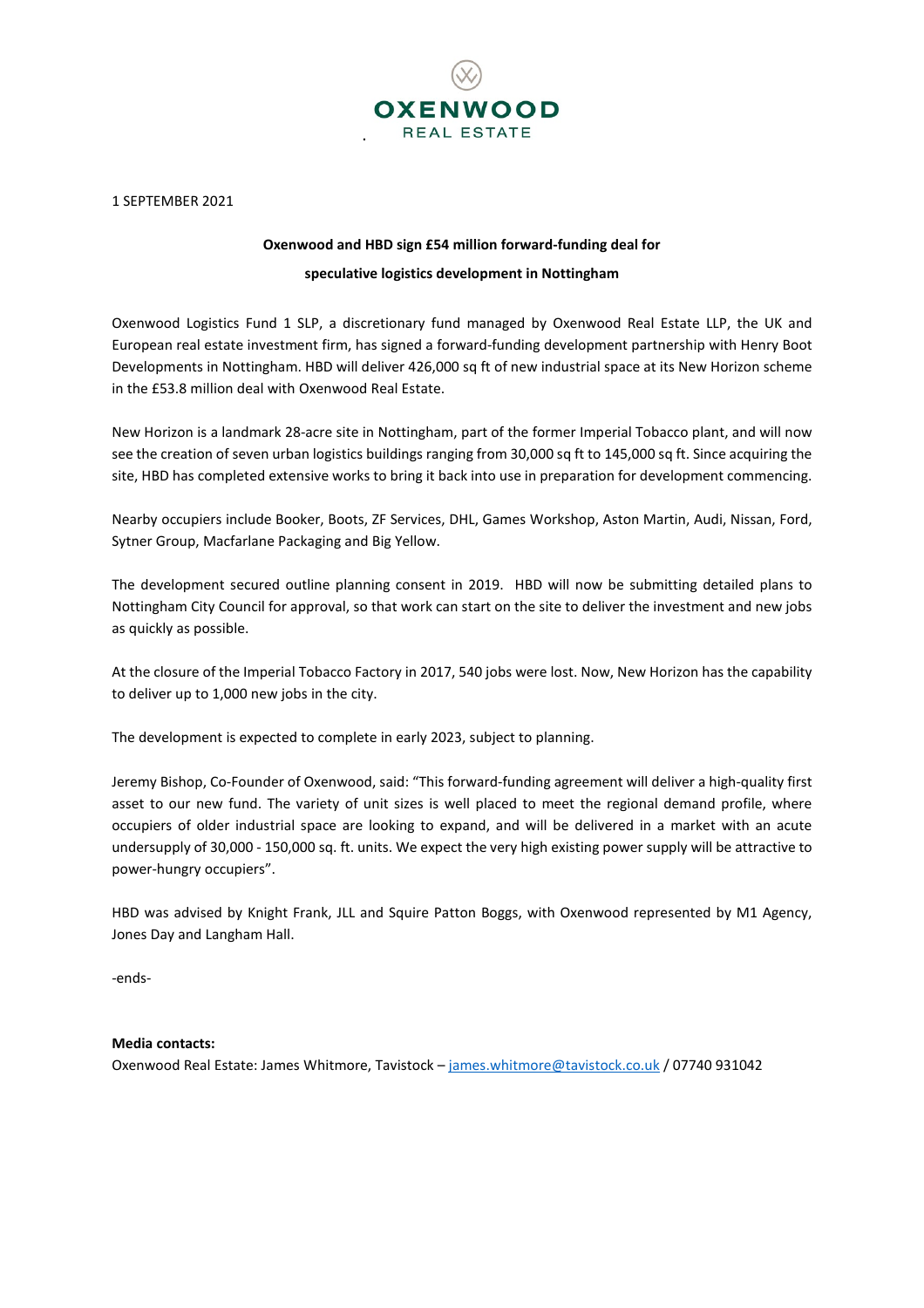

1 SEPTEMBER 2021

## **Oxenwood and HBD sign £54 million forward-funding deal for speculative logistics development in Nottingham**

Oxenwood Logistics Fund 1 SLP, a discretionary fund managed by Oxenwood Real Estate LLP, the UK and European real estate investment firm, has signed a forward-funding development partnership with Henry Boot Developments in Nottingham. HBD will deliver 426,000 sq ft of new industrial space at its New Horizon scheme in the £53.8 million deal with Oxenwood Real Estate.

New Horizon is a landmark 28-acre site in Nottingham, part of the former Imperial Tobacco plant, and will now see the creation of seven urban logistics buildings ranging from 30,000 sq ft to 145,000 sq ft. Since acquiring the site, HBD has completed extensive works to bring it back into use in preparation for development commencing.

Nearby occupiers include Booker, Boots, ZF Services, DHL, Games Workshop, Aston Martin, Audi, Nissan, Ford, Sytner Group, Macfarlane Packaging and Big Yellow.

The development secured outline planning consent in 2019. HBD will now be submitting detailed plans to Nottingham City Council for approval, so that work can start on the site to deliver the investment and new jobs as quickly as possible.

At the closure of the Imperial Tobacco Factory in 2017, 540 jobs were lost. Now, New Horizon has the capability to deliver up to 1,000 new jobs in the city.

The development is expected to complete in early 2023, subject to planning.

Jeremy Bishop, Co-Founder of Oxenwood, said: "This forward-funding agreement will deliver a high-quality first asset to our new fund. The variety of unit sizes is well placed to meet the regional demand profile, where occupiers of older industrial space are looking to expand, and will be delivered in a market with an acute undersupply of 30,000 - 150,000 sq. ft. units. We expect the very high existing power supply will be attractive to power-hungry occupiers".

HBD was advised by Knight Frank, JLL and Squire Patton Boggs, with Oxenwood represented by M1 Agency, Jones Day and Langham Hall.

-ends-

## **Media contacts:**

Oxenwood Real Estate: James Whitmore, Tavistock – [james.whitmore@tavistock.co.uk](mailto:james.whitmore@tavistock.co.uk) / 07740 931042